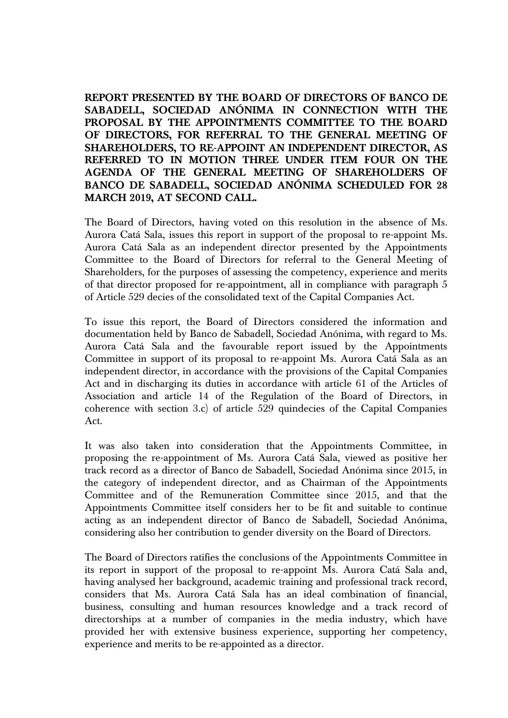**REPORT PRESENTED BY THE BOARD OF DIRECTORS OF BANCO DE SABADELL, SOCIEDAD ANÓNIMA IN CONNECTION WITH THE PROPOSAL BY THE APPOINTMENTS COMMITTEE TO THE BOARD OF DIRECTORS, FOR REFERRAL TO THE GENERAL MEETING OF SHAREHOLDERS, TO RE-APPOINT AN INDEPENDENT DIRECTOR, AS REFERRED TO IN MOTION THREE UNDER ITEM FOUR ON THE AGENDA OF THE GENERAL MEETING OF SHAREHOLDERS OF BANCO DE SABADELL, SOCIEDAD ANÓNIMA SCHEDULED FOR 28 MARCH 2019, AT SECOND CALL.**

The Board of Directors, having voted on this resolution in the absence of Ms. Aurora Catá Sala, issues this report in support of the proposal to re-appoint Ms. Aurora Catá Sala as an independent director presented by the Appointments Committee to the Board of Directors for referral to the General Meeting of Shareholders, for the purposes of assessing the competency, experience and merits of that director proposed for re-appointment, all in compliance with paragraph 5 of Article 529 decies of the consolidated text of the Capital Companies Act.

To issue this report, the Board of Directors considered the information and documentation held by Banco de Sabadell, Sociedad Anónima, with regard to Ms. Aurora Catá Sala and the favourable report issued by the Appointments Committee in support of its proposal to re-appoint Ms. Aurora Catá Sala as an independent director, in accordance with the provisions of the Capital Companies Act and in discharging its duties in accordance with article 61 of the Articles of Association and article 14 of the Regulation of the Board of Directors, in coherence with section 3.c) of article 529 quindecies of the Capital Companies Act.

It was also taken into consideration that the Appointments Committee, in proposing the re-appointment of Ms. Aurora Catá Sala, viewed as positive her track record as a director of Banco de Sabadell, Sociedad Anónima since 2015, in the category of independent director, and as Chairman of the Appointments Committee and of the Remuneration Committee since 2015, and that the Appointments Committee itself considers her to be fit and suitable to continue acting as an independent director of Banco de Sabadell, Sociedad Anónima, considering also her contribution to gender diversity on the Board of Directors.

The Board of Directors ratifies the conclusions of the Appointments Committee in its report in support of the proposal to re-appoint Ms. Aurora Catá Sala and, having analysed her background, academic training and professional track record, considers that Ms. Aurora Catá Sala has an ideal combination of financial, business, consulting and human resources knowledge and a track record of directorships at a number of companies in the media industry, which have provided her with extensive business experience, supporting her competency, experience and merits to be re-appointed as a director.